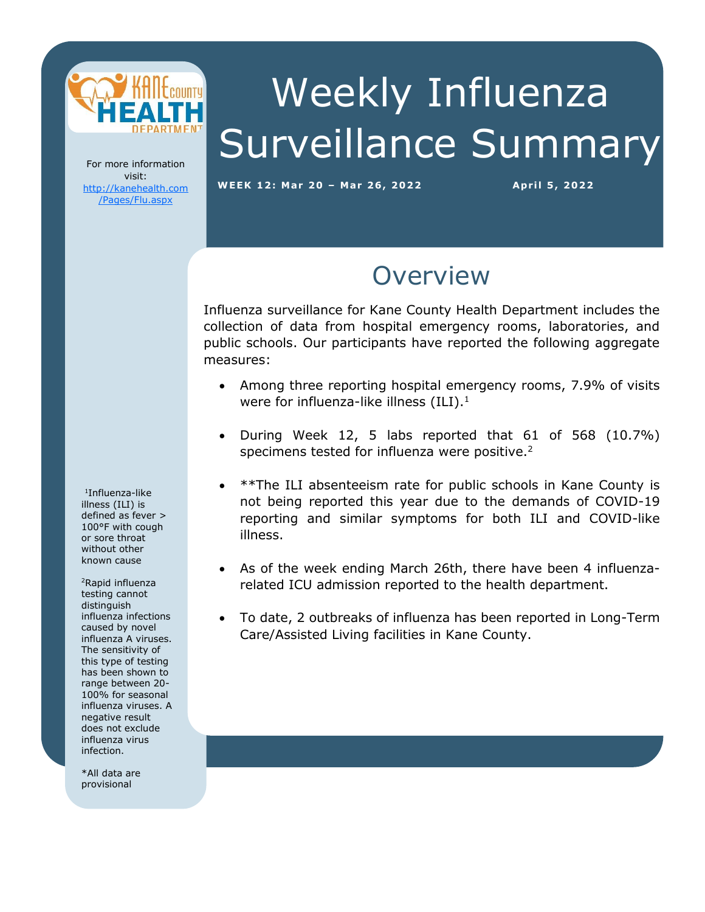

# Weekly Influenza Surveillance Summary

For more information visit: [http://kanehealth.com](http://kanehealth.com/Pages/Flu.aspx) [/Pages/Flu.aspx](http://kanehealth.com/Pages/Flu.aspx)

**WEEK 12: Mar 2 0 – Mar 2 6, 2 0 2 2 Apr i l 5 , 2 0 22**

data that make this monitoring possible.

#### **Overview**

Influenza surveillance for Kane County Health Department includes the collection of data from hospital emergency rooms, laboratories, and public schools. Our participants have reported the following aggregate measures:

- Among three reporting hospital emergency rooms, 7.9% of visits were for influenza-like illness  $(ILI).<sup>1</sup>$
- During Week 12, 5 labs reported that 61 of 568 (10.7%) specimens tested for influenza were positive.<sup>2</sup>
- \*\*The ILI absenteeism rate for public schools in Kane County is not being reported this year due to the demands of COVID-19 reporting and similar symptoms for both ILI and COVID-like illness.
- As of the week ending March 26th, there have been 4 influenzarelated ICU admission reported to the health department.
- To date, 2 outbreaks of influenza has been reported in Long-Term Care/Assisted Living facilities in Kane County.

1 Influenza-like illness (ILI) is defined as fever > 100°F with cough or sore throat without other known cause

<sup>2</sup>Rapid influenza testing cannot distinguish influenza infections caused by novel influenza A viruses. The sensitivity of this type of testing has been shown to range between 20- 100% for seasonal influenza viruses. A negative result does not exclude influenza virus infection.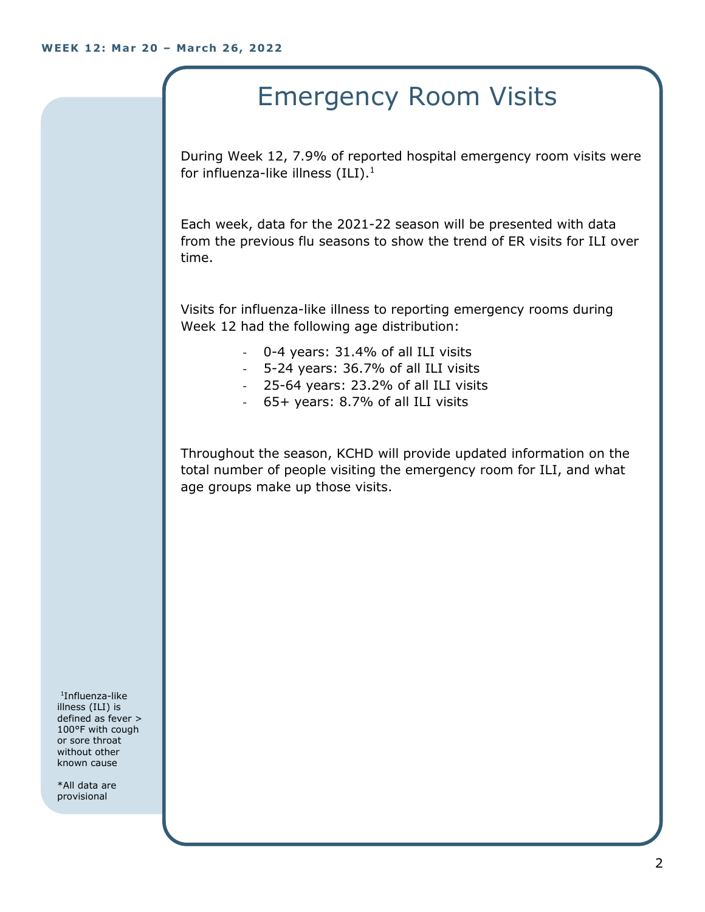## Emergency Room Visits

During Week 12, 7.9% of reported hospital emergency room visits were for influenza-like illness  $(III).<sup>1</sup>$ 

Each week, data for the 2021-22 season will be presented with data from the previous flu seasons to show the trend of ER visits for ILI over time.

Visits for influenza-like illness to reporting emergency rooms during Week 12 had the following age distribution:

- 0-4 years: 31.4% of all ILI visits
- 5-24 years: 36.7% of all ILI visits
- 25-64 years: 23.2% of all ILI visits
- 65+ years: 8.7% of all ILI visits

Throughout the season, KCHD will provide updated information on the total number of people visiting the emergency room for ILI, and what age groups make up those visits.

1 Influenza-like illness (ILI) is defined as fever > 100°F with cough or sore throat without other known cause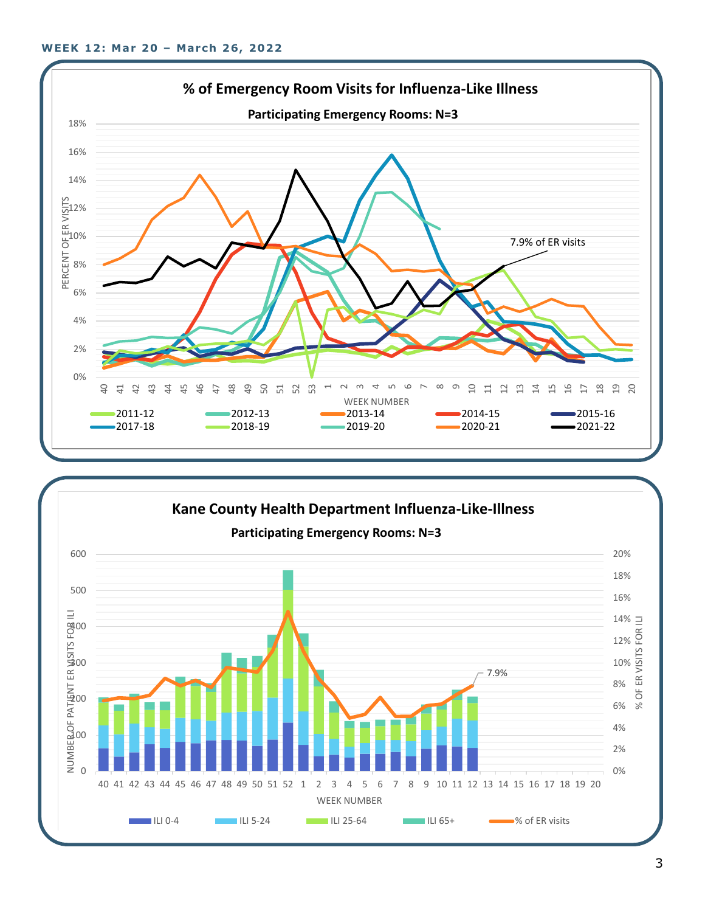

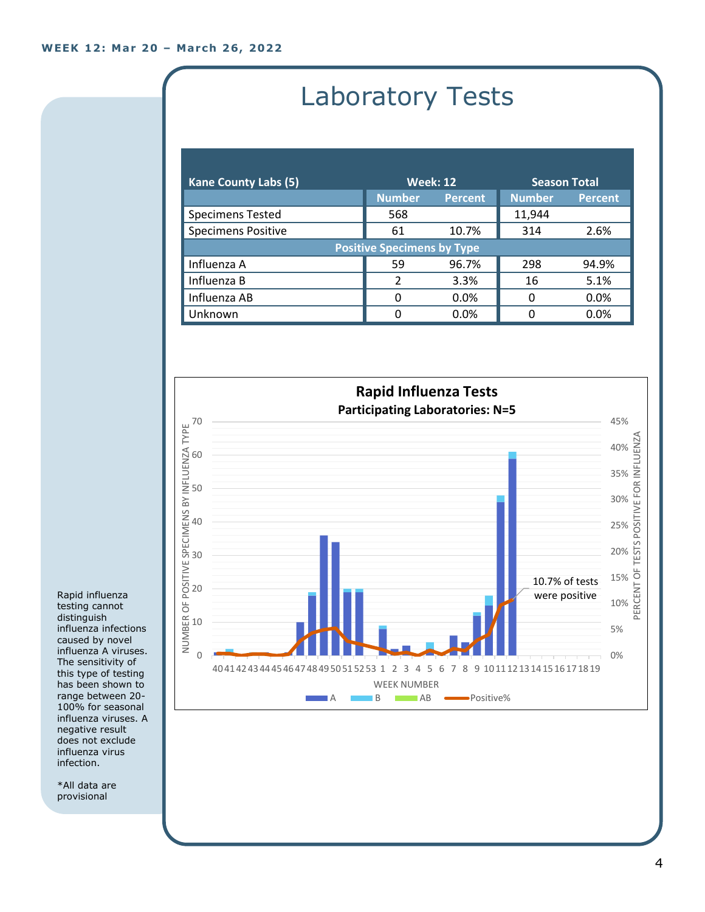## Laboratory Tests

| <b>Kane County Labs (5)</b>       | <b>Week: 12</b> |                | <b>Season Total</b> |                |  |
|-----------------------------------|-----------------|----------------|---------------------|----------------|--|
|                                   | <b>Number</b>   | <b>Percent</b> | <b>Number</b>       | <b>Percent</b> |  |
| <b>Specimens Tested</b>           | 568             |                | 11,944              |                |  |
| <b>Specimens Positive</b>         | 61              | 10.7%          | 314                 | 2.6%           |  |
| <b>Positive Specimens by Type</b> |                 |                |                     |                |  |
| Influenza A                       | 59              | 96.7%          | 298                 | 94.9%          |  |
| Influenza B                       | $\mathcal{P}$   | 3.3%           | 16                  | 5.1%           |  |
| Influenza AB                      | 0               | $0.0\%$        | 0                   | 0.0%           |  |
| Unknown                           | 0               | 0.0%           | ი                   | 0.0%           |  |



Rapid influenza testing cannot distinguish influenza infections caused by novel influenza A viruses. The sensitivity of this type of testing has been shown to range between 20- 100% for seasonal influenza viruses. A negative result does not exclude influenza virus infection.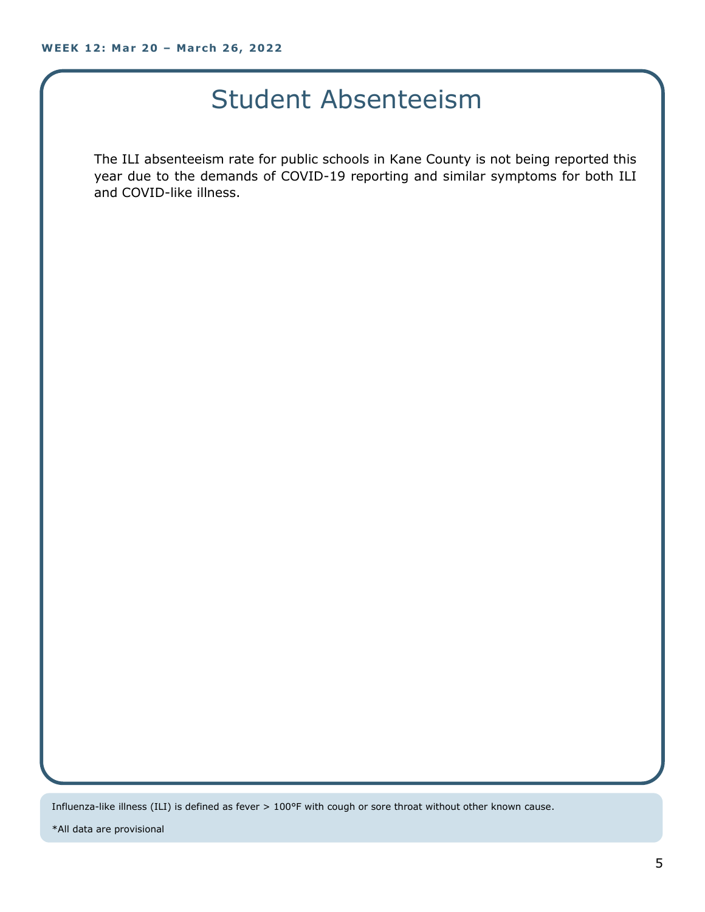#### Student Absenteeism

The ILI absenteeism rate for public schools in Kane County is not being reported this year due to the demands of COVID-19 reporting and similar symptoms for both ILI and COVID-like illness.

Influenza-like illness (ILI) is defined as fever > 100°F with cough or sore throat without other known cause.